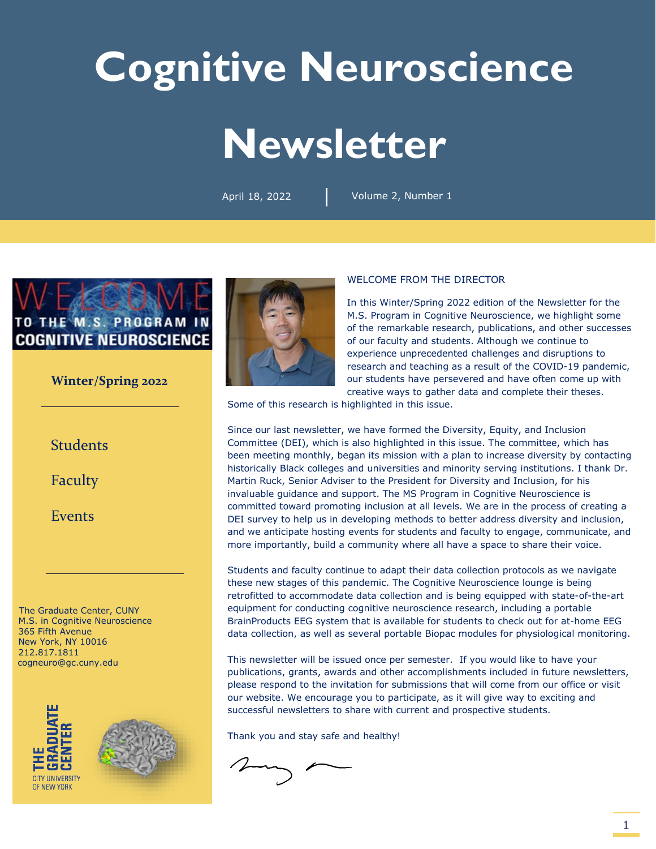# **Cognitive Neuroscience Newsletter**

|

April 18, 2022 Volume 2, Number 1



#### **Winter/Spring 2022**

**Students** 

[Faculty](#page-2-0)

[Events](#page-4-0)

The Graduate Center, CUNY M.S. in Cognitive Neuroscience 365 Fifth Avenue New York, NY 10016 212.817.1811 [cogneuro@gc.cuny.edu](mailto:cogneuro@gc.cuny.edu)







#### WELCOME FROM THE DIRECTOR

In this Winter/Spring 2022 edition of the Newsletter for the M.S. Program in Cognitive Neuroscience, we highlight some of the remarkable research, publications, and other successes of our faculty and students. Although we continue to experience unprecedented challenges and disruptions to research and teaching as a result of the COVID-19 pandemic, our students have persevered and have often come up with creative ways to gather data and complete their theses.

Some of this research is highlighted in this issue.

Since our last newsletter, we have formed the Diversity, Equity, and Inclusion Committee (DEI), which is also highlighted in this issue. The committee, which has been meeting monthly, began its mission with a plan to increase diversity by contacting historically Black colleges and universities and minority serving institutions. I thank Dr. Martin Ruck, Senior Adviser to the President for Diversity and Inclusion, for his invaluable guidance and support. The MS Program in Cognitive Neuroscience is committed toward promoting inclusion at all levels. We are in the process of creating a DEI survey to help us in developing methods to better address diversity and inclusion, and we anticipate hosting events for students and faculty to engage, communicate, and more importantly, build a community where all have a space to share their voice.

Students and faculty continue to adapt their data collection protocols as we navigate these new stages of this pandemic. The Cognitive Neuroscience lounge is being retrofitted to accommodate data collection and is being equipped with state-of-the-art equipment for conducting cognitive neuroscience research, including a portable BrainProducts EEG system that is available for students to check out for at-home EEG data collection, as well as several portable Biopac modules for physiological monitoring.

This newsletter will be issued once per semester. If you would like to have your publications, grants, awards and other accomplishments included in future newsletters, please respond to the invitation for submissions that will come from our office or visit our website. We encourage you to participate, as it will give way to exciting and successful newsletters to share with current and prospective students.

Thank you and stay safe and healthy!

 $2\pi\sqrt{2}$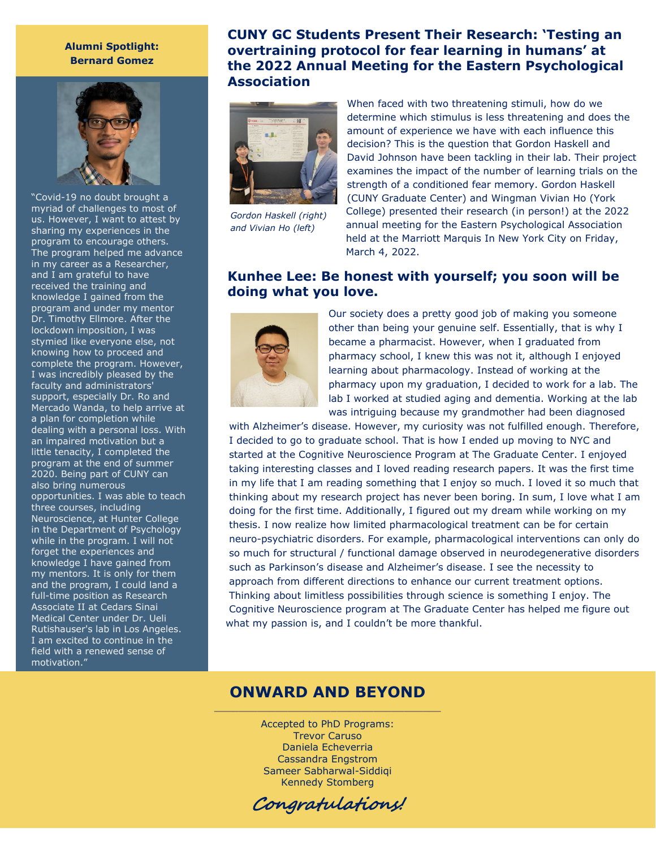#### **Alumni Spotlight: Bernard Gomez**



"Covid-19 no doubt brought a myriad of challenges to most of us. However, I want to attest by sharing my experiences in the program to encourage others. The program helped me advance in my career as a Researcher, and I am grateful to have received the training and knowledge I gained from the program and under my mentor Dr. Timothy Ellmore. After the lockdown imposition, I was stymied like everyone else, not knowing how to proceed and complete the program. However, I was incredibly pleased by the faculty and administrators' support, especially Dr. Ro and Mercado Wanda, to help arrive at a plan for completion while dealing with a personal loss. With an impaired motivation but a little tenacity, I completed the program at the end of summer 2020. Being part of CUNY can also bring numerous opportunities. I was able to teach three courses, including Neuroscience, at Hunter College in the Department of Psychology while in the program. I will not forget the experiences and knowledge I have gained from my mentors. It is only for them and the program, I could land a full-time position as Research Associate II at Cedars Sinai Medical Center under Dr. Ueli Rutishauser's lab in Los Angeles. I am excited to continue in the field with a renewed sense of motivation."

## <span id="page-1-0"></span>**CUNY GC Students Present Their Research: 'Testing an overtraining protocol for fear learning in humans' at the 2022 Annual Meeting for the Eastern Psychological Association**



*Gordon Haskell (right) and Vivian Ho (left)*

When faced with two threatening stimuli, how do we determine which stimulus is less threatening and does the amount of experience we have with each influence this decision? This is the question that Gordon Haskell and David Johnson have been tackling in their lab. Their project examines the impact of the number of learning trials on the strength of a conditioned fear memory. Gordon Haskell (CUNY Graduate Center) and Wingman Vivian Ho (York College) presented their research (in person!) at the 2022 annual meeting for the Eastern Psychological Association held at the Marriott Marquis In New York City on Friday, March 4, 2022.

## **Kunhee Lee: Be honest with yourself; you soon will be doing what you love.**



Our society does a pretty good job of making you someone other than being your genuine self. Essentially, that is why I became a pharmacist. However, when I graduated from pharmacy school, I knew this was not it, although I enjoyed learning about pharmacology. Instead of working at the pharmacy upon my graduation, I decided to work for a lab. The lab I worked at studied aging and dementia. Working at the lab was intriguing because my grandmother had been diagnosed

with Alzheimer's disease. However, my curiosity was not fulfilled enough. Therefore, I decided to go to graduate school. That is how I ended up moving to NYC and started at the Cognitive Neuroscience Program at The Graduate Center. I enjoyed taking interesting classes and I loved reading research papers. It was the first time in my life that I am reading something that I enjoy so much. I loved it so much that thinking about my research project has never been boring. In sum, I love what I am doing for the first time. Additionally, I figured out my dream while working on my thesis. I now realize how limited pharmacological treatment can be for certain neuro-psychiatric disorders. For example, pharmacological interventions can only do so much for structural / functional damage observed in neurodegenerative disorders such as Parkinson's disease and Alzheimer's disease. I see the necessity to approach from different directions to enhance our current treatment options. Thinking about limitless possibilities through science is something I enjoy. The Cognitive Neuroscience program at The Graduate Center has helped me figure out what my passion is, and I couldn't be more thankful.

### **ONWARD AND BEYOND** \_\_\_\_\_\_\_\_\_\_\_\_\_\_\_\_\_\_\_\_\_\_\_\_\_\_\_\_\_\_\_\_\_\_\_\_\_

Accepted to PhD Programs: Trevor Caruso Daniela Echeverria Cassandra Engstrom Sameer Sabharwal-Siddiqi Kennedy Stomberg

Congratulations!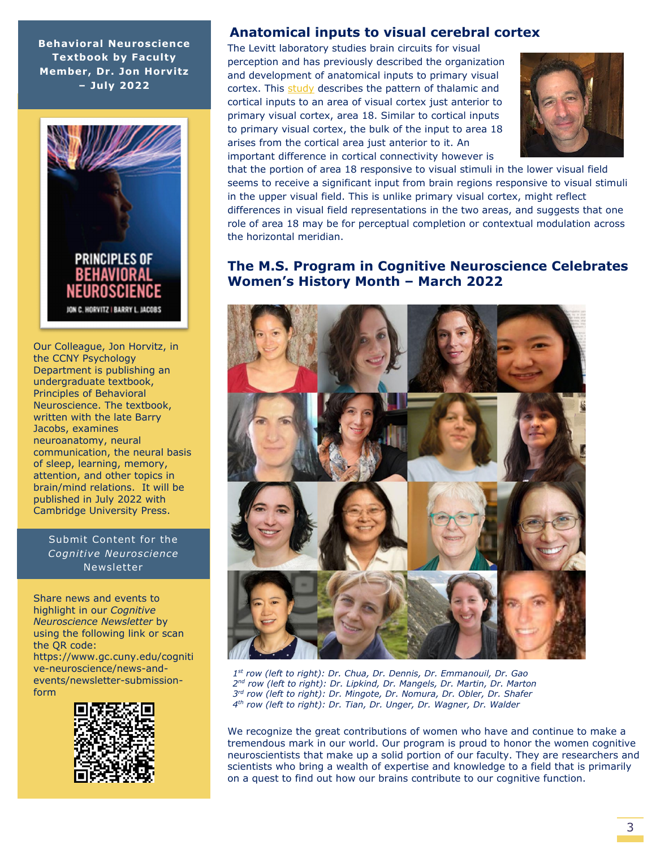**Behavioral Neuroscience Textbook by Faculty Member, Dr. Jon Horvitz – July 2022**



Our Colleague, Jon Horvitz, in the CCNY Psychology Department is publishing an undergraduate textbook, Principles of Behavioral Neuroscience. The textbook, written with the late Barry Jacobs, examines neuroanatomy, neural communication, the neural basis of sleep, learning, memory, attention, and other topics in brain/mind relations. It will be published in July 2022 with Cambridge University Press.

Submit Content for the *Cognitive Neuroscience*  Newsletter

Share news and events to highlight in our *Cognitive Neuroscience Newsletter* by using the following link or scan the QR code: https://www.gc.cuny.edu/cogniti ve-neuroscience/news-andevents/newsletter-submissionform



## <span id="page-2-0"></span> **Anatomical inputs to visual cerebral cortex**

The Levitt laboratory studies brain circuits for visual perception and has previously described the organization and development of anatomical inputs to primary visual cortex. This [study](https://www.frontiersin.org/articles/10.3389/fnana.2020.581478/full) describes the pattern of thalamic and cortical inputs to an area of visual cortex just anterior to primary visual cortex, area 18. Similar to cortical inputs to primary visual cortex, the bulk of the input to area 18 arises from the cortical area just anterior to it. An important difference in cortical connectivity however is



that the portion of area 18 responsive to visual stimuli in the lower visual field seems to receive a significant input from brain regions responsive to visual stimuli in the upper visual field. This is unlike primary visual cortex, might reflect differences in visual field representations in the two areas, and suggests that one role of area 18 may be for perceptual completion or contextual modulation across the horizontal meridian.

## **The M.S. Program in Cognitive Neuroscience Celebrates Women's History Month – March 2022**



*1st row (left to right): Dr. Chua, Dr. Dennis, Dr. Emmanouil, Dr. Gao 2nd row (left to right): Dr. Lipkind, Dr. Mangels, Dr. Martin, Dr. Marton 3rd row (left to right): Dr. Mingote, Dr. Nomura, Dr. Obler, Dr. Shafer 4th row (left to right): Dr. Tian, Dr. Unger, Dr. Wagner, Dr. Walder*

We recognize the great contributions of women who have and continue to make a tremendous mark in our world. Our program is proud to honor the women cognitive neuroscientists that make up a solid portion of our faculty. They are researchers and scientists who bring a wealth of expertise and knowledge to a field that is primarily on a quest to find out how our brains contribute to our cognitive function.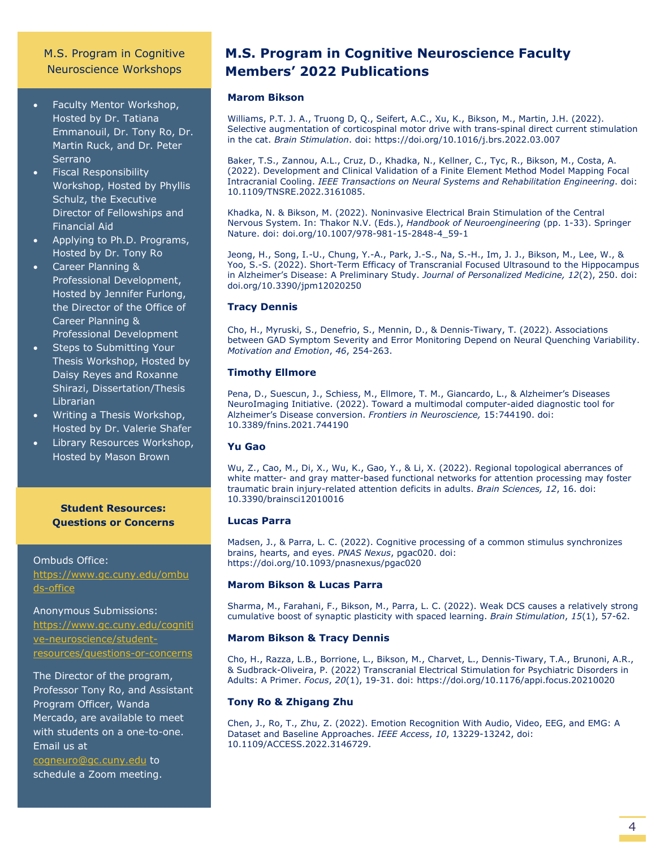#### M.S. Program in Cognitive Neuroscience Workshops

- Faculty Mentor Workshop, Hosted by Dr. Tatiana Emmanouil, Dr. Tony Ro, Dr. Martin Ruck, and Dr. Peter Serrano
- Fiscal Responsibility Workshop, Hosted by Phyllis Schulz, the Executive Director of Fellowships and Financial Aid
- Applying to Ph.D. Programs, Hosted by Dr. Tony Ro
- Career Planning & Professional Development, Hosted by Jennifer Furlong, the Director of the Office of Career Planning & Professional Development
- Steps to Submitting Your Thesis Workshop, Hosted by Daisy Reyes and Roxanne Shirazi, Dissertation/Thesis Librarian
- Writing a Thesis Workshop, Hosted by Dr. Valerie Shafer
- Library Resources Workshop, Hosted by Mason Brown

**Student Resources: Questions or Concerns**

Ombuds Office: [https://www.gc.cuny.edu/ombu](https://www.gc.cuny.edu/ombuds-office) [ds-office](https://www.gc.cuny.edu/ombuds-office) 

Anonymous Submissions:

[https://www.gc.cuny.edu/cogniti](https://www.gc.cuny.edu/cognitive-neuroscience/student-resources/questions-or-concerns) [ve-neuroscience/student](https://www.gc.cuny.edu/cognitive-neuroscience/student-resources/questions-or-concerns)[resources/questions-or-concerns](https://www.gc.cuny.edu/cognitive-neuroscience/student-resources/questions-or-concerns)

The Director of the program, Professor Tony Ro, and Assistant Program Officer, Wanda Mercado, are available to meet with students on a one-to-one. Email us at [cogneuro@gc.cuny.edu](mailto:cogneuro@gc.cuny.edu) to schedule a Zoom meeting.

# **M.S. Program in Cognitive Neuroscience Faculty Members' 2022 Publications**

#### **Marom Bikson**

Williams, P.T. J. A., Truong D, Q., Seifert, A.C., Xu, K., Bikson, M., Martin, J.H. (2022). Selective augmentation of corticospinal motor drive with trans-spinal direct current stimulation in the cat. *Brain Stimulation*. doi: https://doi.org/10.1016/j.brs.2022.03.007

Baker, T.S., Zannou, A.L., Cruz, D., Khadka, N., Kellner, C., Tyc, R., Bikson, M., Costa, A. (2022). Development and Clinical Validation of a Finite Element Method Model Mapping Focal Intracranial Cooling. *IEEE Transactions on Neural Systems and Rehabilitation Engineering*. doi: 10.1109/TNSRE.2022.3161085.

Khadka, N. & Bikson, M. (2022). Noninvasive Electrical Brain Stimulation of the Central Nervous System. In: Thakor N.V. (Eds.), *Handbook of Neuroengineering* (pp. 1-33). Springer Nature. doi: doi.org/10.1007/978-981-15-2848-4\_59-1

Jeong, H., Song, I.-U., Chung, Y.-A., Park, J.-S., Na, S.-H., Im, J. J., Bikson, M., Lee, W., & Yoo, S.-S. (2022). Short-Term Efficacy of Transcranial Focused Ultrasound to the Hippocampus in Alzheimer's Disease: A Preliminary Study. *Journal of Personalized Medicine, 12*(2), 250. doi: doi.org/10.3390/jpm12020250

#### **Tracy Dennis**

Cho, H., Myruski, S., Denefrio, S., Mennin, D., & Dennis-Tiwary, T. (2022). Associations between GAD Symptom Severity and Error Monitoring Depend on Neural Quenching Variability. *Motivation and Emotion*, *46*, 254-263.

#### **Timothy Ellmore**

Pena, D., Suescun, J., Schiess, M., Ellmore, T. M., Giancardo, L., & Alzheimer's Diseases NeuroImaging Initiative. (2022). Toward a multimodal computer-aided diagnostic tool for Alzheimer's Disease conversion. *Frontiers in Neuroscience,* 15:744190. doi: 10.3389/fnins.2021.744190

#### **Yu Gao**

Wu, Z., Cao, M., Di, X., Wu, K., Gao, Y., & Li, X. (2022). Regional topological aberrances of white matter- and gray matter-based functional networks for attention processing may foster traumatic brain injury-related attention deficits in adults. *Brain Sciences, 12*, 16. doi: 10.3390/brainsci12010016

#### **Lucas Parra**

Madsen, J., & Parra, L. C. (2022). Cognitive processing of a common stimulus synchronizes brains, hearts, and eyes. *PNAS Nexus*, pgac020. doi: https://doi.org/10.1093/pnasnexus/pgac020

#### **Marom Bikson & Lucas Parra**

Sharma, M., Farahani, F., Bikson, M., Parra, L. C. (2022). Weak DCS causes a relatively strong cumulative boost of synaptic plasticity with spaced learning. *Brain Stimulation*, *15*(1), 57-62.

#### **Marom Bikson & Tracy Dennis**

Cho, H., Razza, L.B., Borrione, L., Bikson, M., Charvet, L., Dennis-Tiwary, T.A., Brunoni, A.R., & Sudbrack-Oliveira, P. (2022) Transcranial Electrical Stimulation for Psychiatric Disorders in Adults: A Primer. *Focus*, *20*(1), 19-31. doi: https://doi.org/10.1176/appi.focus.20210020

#### **Tony Ro & Zhigang Zhu**

Chen, J., Ro, T., Zhu, Z. (2022). Emotion Recognition With Audio, Video, EEG, and EMG: A Dataset and Baseline Approaches. *IEEE Access*, *10*, 13229-13242, doi: 10.1109/ACCESS.2022.3146729.